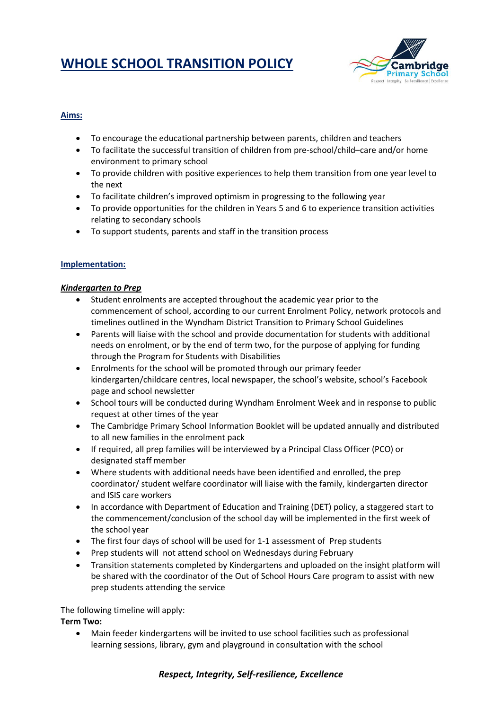# **WHOLE SCHOOL TRANSITION POLICY**



# **Aims:**

- To encourage the educational partnership between parents, children and teachers
- To facilitate the successful transition of children from pre-school/child–care and/or home environment to primary school
- To provide children with positive experiences to help them transition from one year level to the next
- To facilitate children's improved optimism in progressing to the following year
- To provide opportunities for the children in Years 5 and 6 to experience transition activities relating to secondary schools
- To support students, parents and staff in the transition process

# **Implementation:**

# *Kindergarten to Prep*

- Student enrolments are accepted throughout the academic year prior to the commencement of school, according to our current Enrolment Policy, network protocols and timelines outlined in the Wyndham District Transition to Primary School Guidelines
- Parents will liaise with the school and provide documentation for students with additional needs on enrolment, or by the end of term two, for the purpose of applying for funding through the Program for Students with Disabilities
- Enrolments for the school will be promoted through our primary feeder kindergarten/childcare centres, local newspaper, the school's website, school's Facebook page and school newsletter
- School tours will be conducted during Wyndham Enrolment Week and in response to public request at other times of the year
- The Cambridge Primary School Information Booklet will be updated annually and distributed to all new families in the enrolment pack
- If required, all prep families will be interviewed by a Principal Class Officer (PCO) or designated staff member
- Where students with additional needs have been identified and enrolled, the prep coordinator/ student welfare coordinator will liaise with the family, kindergarten director and ISIS care workers
- In accordance with Department of Education and Training (DET) policy, a staggered start to the commencement/conclusion of the school day will be implemented in the first week of the school year
- The first four days of school will be used for 1-1 assessment of Prep students
- Prep students will not attend school on Wednesdays during February
- Transition statements completed by Kindergartens and uploaded on the insight platform will be shared with the coordinator of the Out of School Hours Care program to assist with new prep students attending the service

The following timeline will apply:

**Term Two:**

 Main feeder kindergartens will be invited to use school facilities such as professional learning sessions, library, gym and playground in consultation with the school

# *Respect, Integrity, Self-resilience, Excellence*